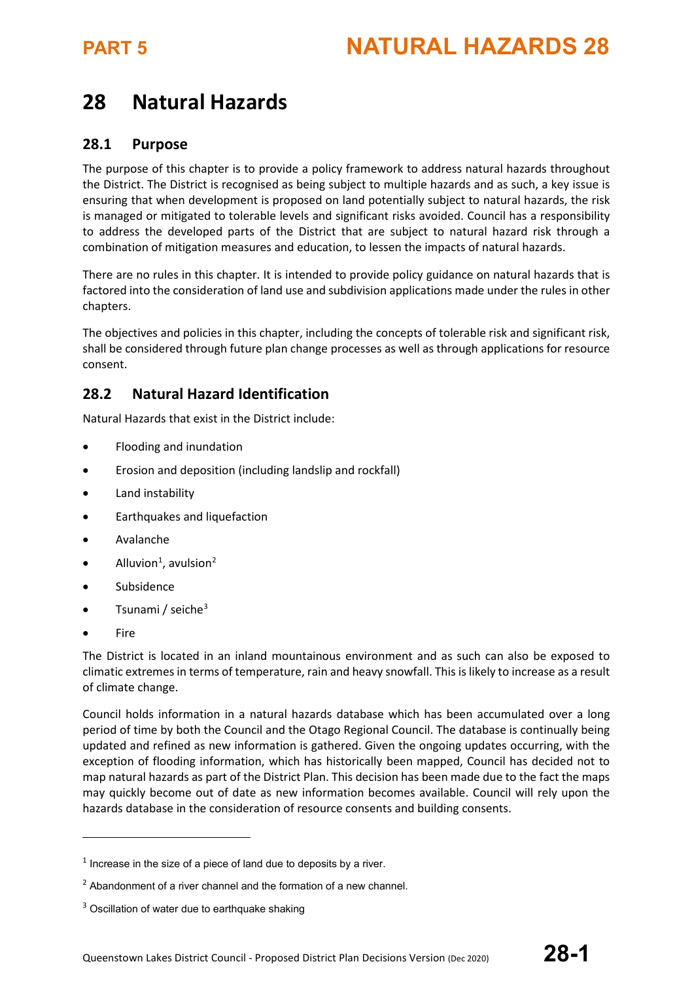## **28 Natural Hazards**

## **28.1 Purpose**

The purpose of this chapter is to provide a policy framework to address natural hazards throughout the District. The District is recognised as being subject to multiple hazards and as such, a key issue is ensuring that when development is proposed on land potentially subject to natural hazards, the risk is managed or mitigated to tolerable levels and significant risks avoided. Council has a responsibility to address the developed parts of the District that are subject to natural hazard risk through a combination of mitigation measures and education, to lessen the impacts of natural hazards.

There are no rules in this chapter. It is intended to provide policy guidance on natural hazards that is factored into the consideration of land use and subdivision applications made under the rules in other chapters.

The objectives and policies in this chapter, including the concepts of tolerable risk and significant risk, shall be considered through future plan change processes as well as through applications for resource consent.

## **28.2 Natural Hazard Identification**

Natural Hazards that exist in the District include:

- Flooding and inundation
- Erosion and deposition (including landslip and rockfall)
- Land instability
- Earthquakes and liquefaction
- Avalanche
- Alluvion<sup>[1](#page-0-0)</sup>, avulsion<sup>[2](#page-0-1)</sup>
- Subsidence
- Tsunami / seiche $3$
- **Fire**

**.** 

The District is located in an inland mountainous environment and as such can also be exposed to climatic extremes in terms of temperature, rain and heavy snowfall. This is likely to increase as a result of climate change.

Council holds information in a natural hazards database which has been accumulated over a long period of time by both the Council and the Otago Regional Council. The database is continually being updated and refined as new information is gathered. Given the ongoing updates occurring, with the exception of flooding information, which has historically been mapped, Council has decided not to map natural hazards as part of the District Plan. This decision has been made due to the fact the maps may quickly become out of date as new information becomes available. Council will rely upon the hazards database in the consideration of resource consents and building consents.

<span id="page-0-0"></span> $1$  Increase in the size of a piece of land due to deposits by a river.

<span id="page-0-1"></span> $<sup>2</sup>$  Abandonment of a river channel and the formation of a new channel.</sup>

<span id="page-0-2"></span><sup>&</sup>lt;sup>3</sup> Oscillation of water due to earthquake shaking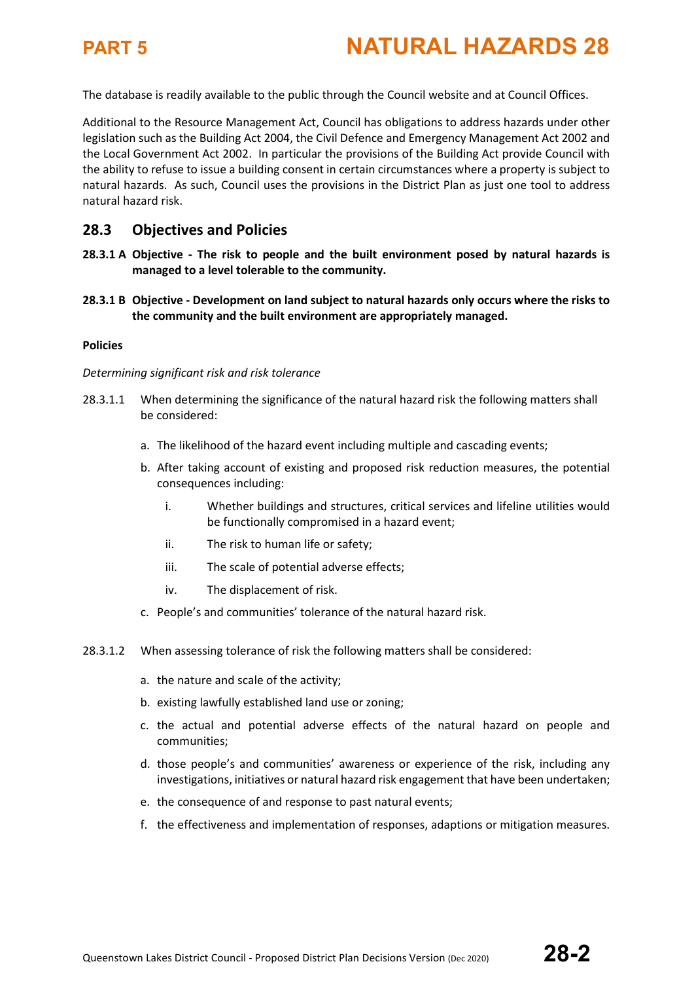

The database is readily available to the public through the Council website and at Council Offices.

Additional to the Resource Management Act, Council has obligations to address hazards under other legislation such as the Building Act 2004, the Civil Defence and Emergency Management Act 2002 and the Local Government Act 2002. In particular the provisions of the Building Act provide Council with the ability to refuse to issue a building consent in certain circumstances where a property is subject to natural hazards. As such, Council uses the provisions in the District Plan as just one tool to address natural hazard risk.

### **28.3 Objectives and Policies**

- **28.3.1 A Objective - The risk to people and the built environment posed by natural hazards is managed to a level tolerable to the community.**
- **28.3.1 B Objective - Development on land subject to natural hazards only occurs where the risks to the community and the built environment are appropriately managed.**

#### **Policies**

#### *Determining significant risk and risk tolerance*

- 28.3.1.1 When determining the significance of the natural hazard risk the following matters shall be considered:
	- a. The likelihood of the hazard event including multiple and cascading events;
	- b. After taking account of existing and proposed risk reduction measures, the potential consequences including:
		- i. Whether buildings and structures, critical services and lifeline utilities would be functionally compromised in a hazard event;
		- ii. The risk to human life or safety;
		- iii. The scale of potential adverse effects;
		- iv. The displacement of risk.
	- c. People's and communities' tolerance of the natural hazard risk.
- 28.3.1.2 When assessing tolerance of risk the following matters shall be considered:
	- a. the nature and scale of the activity;
	- b. existing lawfully established land use or zoning;
	- c. the actual and potential adverse effects of the natural hazard on people and communities;
	- d. those people's and communities' awareness or experience of the risk, including any investigations, initiatives or natural hazard risk engagement that have been undertaken;
	- e. the consequence of and response to past natural events;
	- f. the effectiveness and implementation of responses, adaptions or mitigation measures.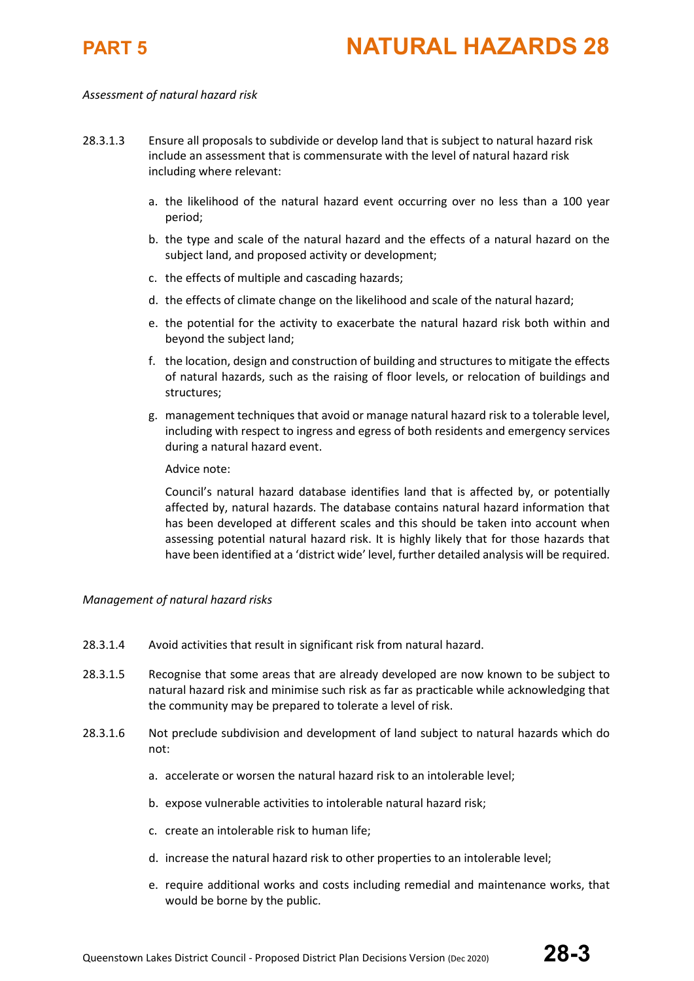### *Assessment of natural hazard risk*

- 28.3.1.3 Ensure all proposals to subdivide or develop land that is subject to natural hazard risk include an assessment that is commensurate with the level of natural hazard risk including where relevant:
	- a. the likelihood of the natural hazard event occurring over no less than a 100 year period;
	- b. the type and scale of the natural hazard and the effects of a natural hazard on the subject land, and proposed activity or development;
	- c. the effects of multiple and cascading hazards;
	- d. the effects of climate change on the likelihood and scale of the natural hazard;
	- e. the potential for the activity to exacerbate the natural hazard risk both within and beyond the subject land;
	- f. the location, design and construction of building and structures to mitigate the effects of natural hazards, such as the raising of floor levels, or relocation of buildings and structures;
	- g. management techniques that avoid or manage natural hazard risk to a tolerable level, including with respect to ingress and egress of both residents and emergency services during a natural hazard event.

Advice note:

Council's natural hazard database identifies land that is affected by, or potentially affected by, natural hazards. The database contains natural hazard information that has been developed at different scales and this should be taken into account when assessing potential natural hazard risk. It is highly likely that for those hazards that have been identified at a 'district wide' level, further detailed analysis will be required.

### *Management of natural hazard risks*

- 28.3.1.4 Avoid activities that result in significant risk from natural hazard.
- 28.3.1.5 Recognise that some areas that are already developed are now known to be subject to natural hazard risk and minimise such risk as far as practicable while acknowledging that the community may be prepared to tolerate a level of risk.
- 28.3.1.6 Not preclude subdivision and development of land subject to natural hazards which do not:
	- a. accelerate or worsen the natural hazard risk to an intolerable level;
	- b. expose vulnerable activities to intolerable natural hazard risk;
	- c. create an intolerable risk to human life;
	- d. increase the natural hazard risk to other properties to an intolerable level;
	- e. require additional works and costs including remedial and maintenance works, that would be borne by the public.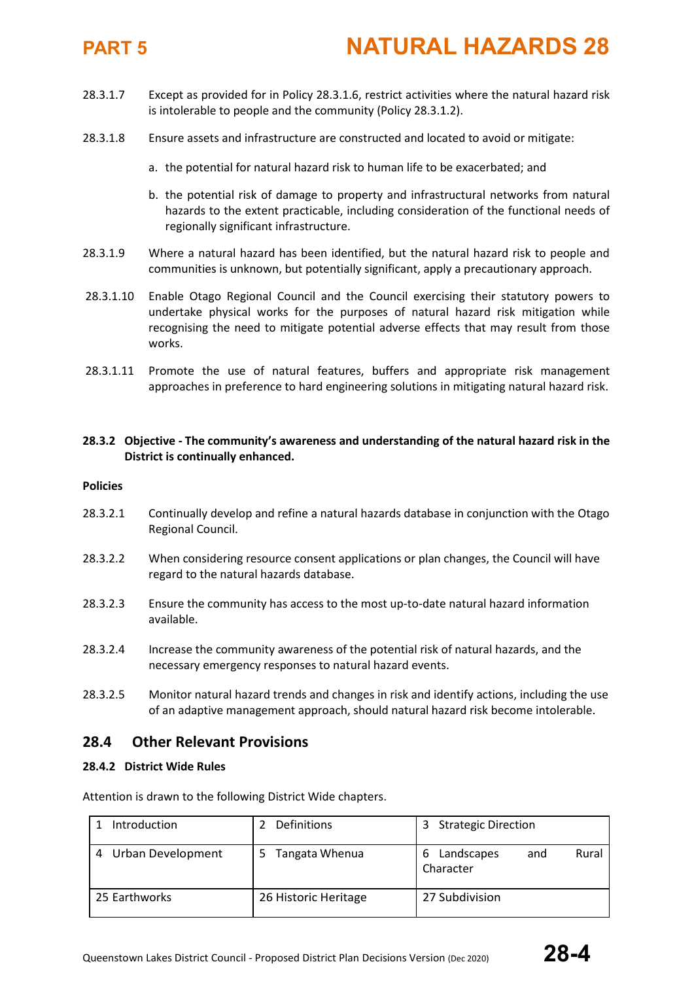- 28.3.1.7 Except as provided for in Policy 28.3.1.6, restrict activities where the natural hazard risk is intolerable to people and the community (Policy 28.3.1.2).
- 28.3.1.8 Ensure assets and infrastructure are constructed and located to avoid or mitigate:
	- a. the potential for natural hazard risk to human life to be exacerbated; and
	- b. the potential risk of damage to property and infrastructural networks from natural hazards to the extent practicable, including consideration of the functional needs of regionally significant infrastructure.
- 28.3.1.9 Where a natural hazard has been identified, but the natural hazard risk to people and communities is unknown, but potentially significant, apply a precautionary approach.
- 28.3.1.10 Enable Otago Regional Council and the Council exercising their statutory powers to undertake physical works for the purposes of natural hazard risk mitigation while recognising the need to mitigate potential adverse effects that may result from those works.
- 28.3.1.11 Promote the use of natural features, buffers and appropriate risk management approaches in preference to hard engineering solutions in mitigating natural hazard risk.

### **28.3.2 Objective - The community's awareness and understanding of the natural hazard risk in the District is continually enhanced.**

### **Policies**

- 28.3.2.1 Continually develop and refine a natural hazards database in conjunction with the Otago Regional Council.
- 28.3.2.2 When considering resource consent applications or plan changes, the Council will have regard to the natural hazards database.
- 28.3.2.3 Ensure the community has access to the most up-to-date natural hazard information available.
- 28.3.2.4 Increase the community awareness of the potential risk of natural hazards, and the necessary emergency responses to natural hazard events.
- 28.3.2.5 Monitor natural hazard trends and changes in risk and identify actions, including the use of an adaptive management approach, should natural hazard risk become intolerable.

### **28.4 Other Relevant Provisions**

### **28.4.2 District Wide Rules**

Attention is drawn to the following District Wide chapters.

| Introduction                  | <b>Definitions</b>   | <b>Strategic Direction</b><br>3              |
|-------------------------------|----------------------|----------------------------------------------|
| <b>Urban Development</b><br>4 | Tangata Whenua<br>5. | Landscapes<br>Rural<br>6<br>and<br>Character |
| 25 Earthworks                 | 26 Historic Heritage | 27 Subdivision                               |